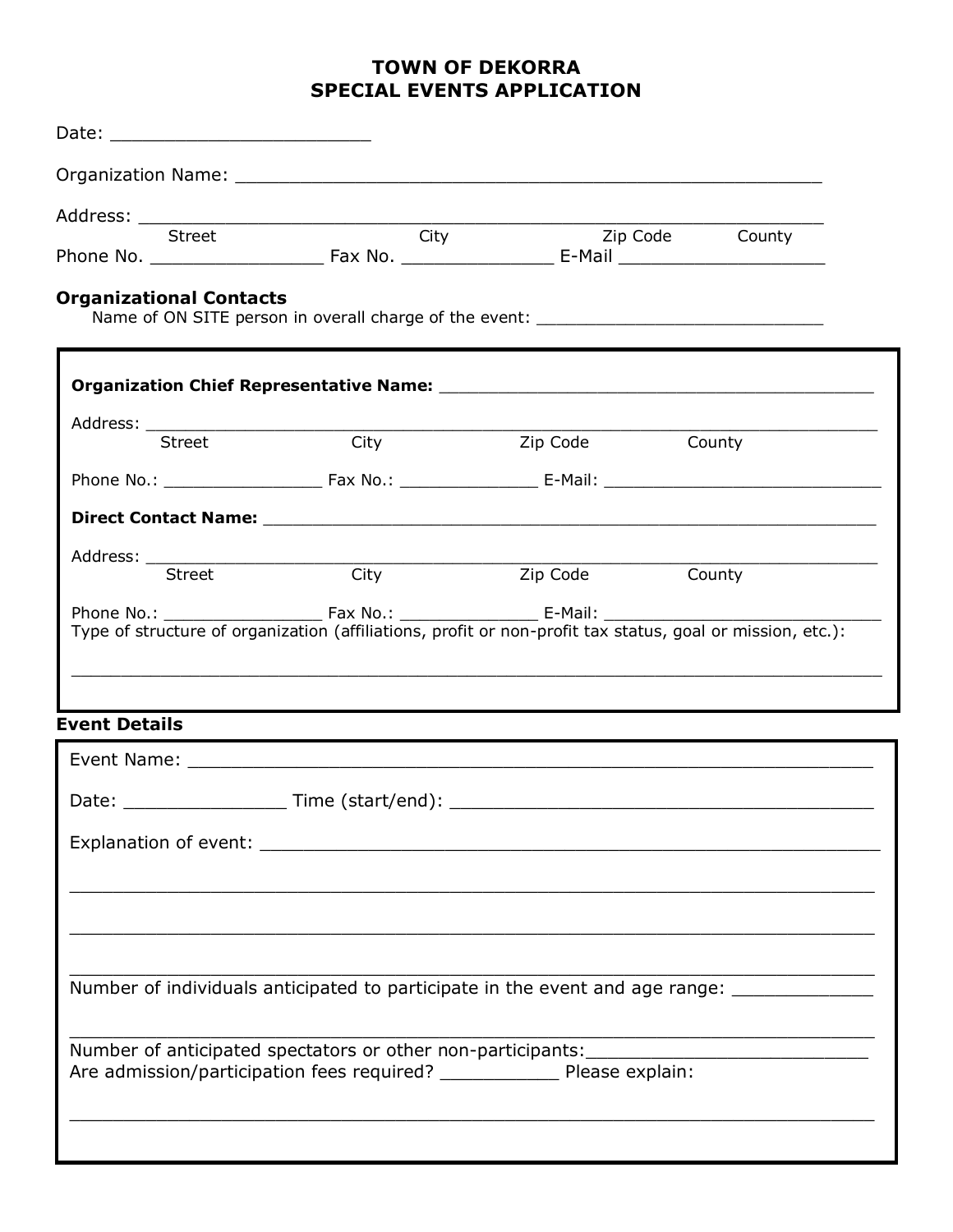# **TOWN OF DEKORRA SPECIAL EVENTS APPLICATION**

| Date: _______________________________                                                                               |                                                                                                                                                                                                                               |                                                             |                 |  |
|---------------------------------------------------------------------------------------------------------------------|-------------------------------------------------------------------------------------------------------------------------------------------------------------------------------------------------------------------------------|-------------------------------------------------------------|-----------------|--|
|                                                                                                                     |                                                                                                                                                                                                                               |                                                             |                 |  |
| <b>Street</b>                                                                                                       | $\overline{\phantom{a}}$ City                                                                                                                                                                                                 |                                                             | Zip Code County |  |
| <b>Organizational Contacts</b><br>Name of ON SITE person in overall charge of the event: __________________________ |                                                                                                                                                                                                                               |                                                             |                 |  |
|                                                                                                                     |                                                                                                                                                                                                                               |                                                             |                 |  |
| Street                                                                                                              | City                                                                                                                                                                                                                          | Zip Code <b>Example</b>                                     | County          |  |
|                                                                                                                     |                                                                                                                                                                                                                               |                                                             |                 |  |
|                                                                                                                     |                                                                                                                                                                                                                               |                                                             |                 |  |
| Street                                                                                                              | <b>Example 1</b>                                                                                                                                                                                                              | <b>Example 2</b> Sip Code                                   | County          |  |
| Type of structure of organization (affiliations, profit or non-profit tax status, goal or mission, etc.):           |                                                                                                                                                                                                                               |                                                             |                 |  |
| <b>Event Details</b>                                                                                                | the control of the control of the control of the control of the control of the control of the control of the control of the control of the control of the control of the control of the control of the control of the control |                                                             |                 |  |
|                                                                                                                     |                                                                                                                                                                                                                               |                                                             |                 |  |
|                                                                                                                     |                                                                                                                                                                                                                               |                                                             |                 |  |
| Explanation of event: explanation of event:                                                                         |                                                                                                                                                                                                                               |                                                             |                 |  |
|                                                                                                                     |                                                                                                                                                                                                                               | the control of the control of the control of the control of |                 |  |
|                                                                                                                     |                                                                                                                                                                                                                               |                                                             |                 |  |
|                                                                                                                     |                                                                                                                                                                                                                               |                                                             |                 |  |
| Number of individuals anticipated to participate in the event and age range: _______________                        |                                                                                                                                                                                                                               |                                                             |                 |  |
|                                                                                                                     |                                                                                                                                                                                                                               |                                                             |                 |  |
|                                                                                                                     | Are admission/participation fees required? ___________________ Please explain:                                                                                                                                                |                                                             |                 |  |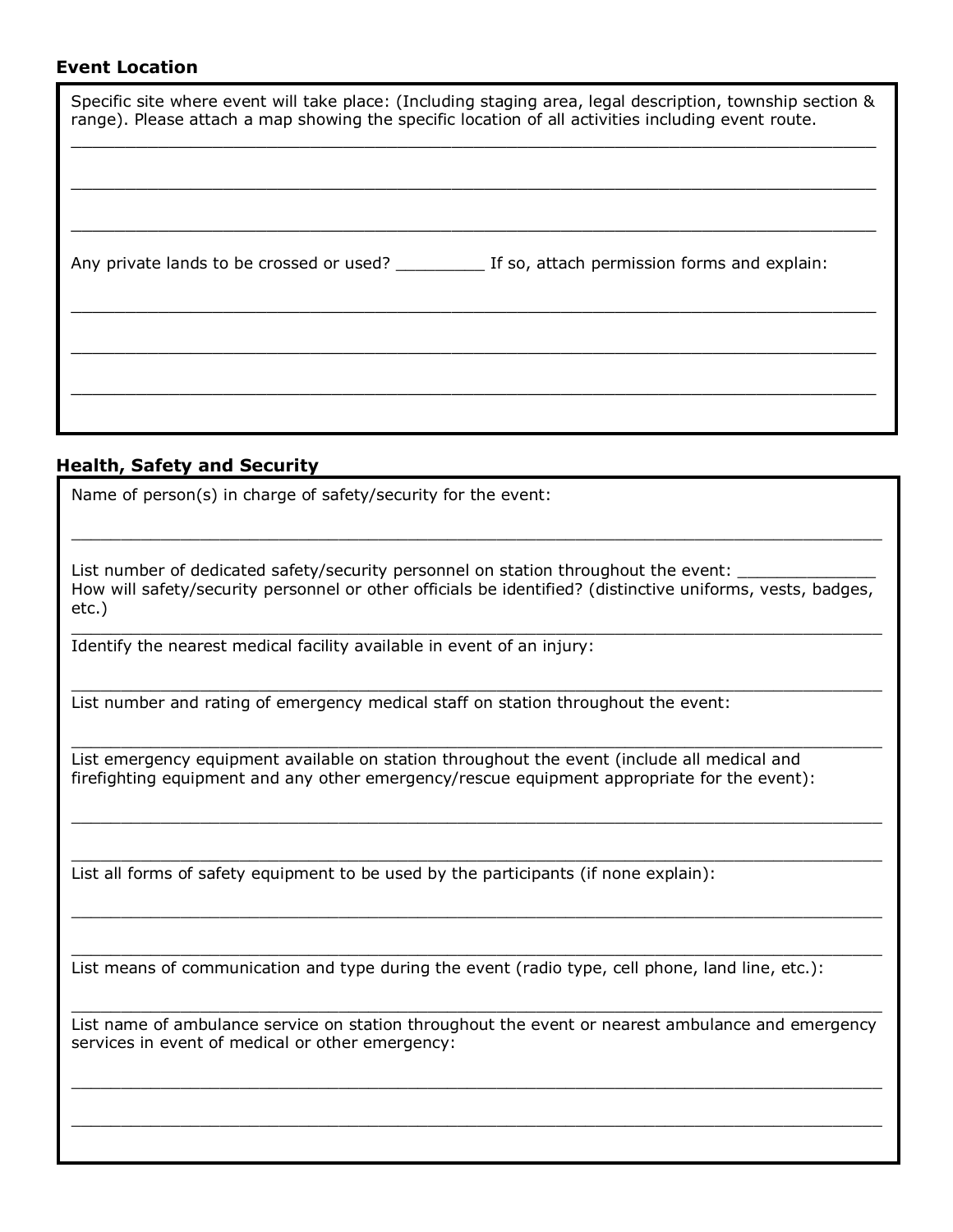#### **Event Location**

| Specific site where event will take place: (Including staging area, legal description, township section &<br>range). Please attach a map showing the specific location of all activities including event route. |  |  |
|-----------------------------------------------------------------------------------------------------------------------------------------------------------------------------------------------------------------|--|--|
|                                                                                                                                                                                                                 |  |  |
|                                                                                                                                                                                                                 |  |  |
|                                                                                                                                                                                                                 |  |  |
|                                                                                                                                                                                                                 |  |  |

## **Health, Safety and Security**

Name of person(s) in charge of safety/security for the event:

List number of dedicated safety/security personnel on station throughout the event: How will safety/security personnel or other officials be identified? (distinctive uniforms, vests, badges, etc.) \_\_\_\_\_\_\_\_\_\_\_\_\_\_\_\_\_\_\_\_\_\_\_\_\_\_\_\_\_\_\_\_\_\_\_\_\_\_\_\_\_\_\_\_\_\_\_\_\_\_\_\_\_\_\_\_\_\_\_\_\_\_\_\_\_\_\_\_\_\_\_\_\_\_\_\_\_\_\_\_\_\_

\_\_\_\_\_\_\_\_\_\_\_\_\_\_\_\_\_\_\_\_\_\_\_\_\_\_\_\_\_\_\_\_\_\_\_\_\_\_\_\_\_\_\_\_\_\_\_\_\_\_\_\_\_\_\_\_\_\_\_\_\_\_\_\_\_\_\_\_\_\_\_\_\_\_\_\_\_\_\_\_\_\_

\_\_\_\_\_\_\_\_\_\_\_\_\_\_\_\_\_\_\_\_\_\_\_\_\_\_\_\_\_\_\_\_\_\_\_\_\_\_\_\_\_\_\_\_\_\_\_\_\_\_\_\_\_\_\_\_\_\_\_\_\_\_\_\_\_\_\_\_\_\_\_\_\_\_\_\_\_\_\_\_\_\_

\_\_\_\_\_\_\_\_\_\_\_\_\_\_\_\_\_\_\_\_\_\_\_\_\_\_\_\_\_\_\_\_\_\_\_\_\_\_\_\_\_\_\_\_\_\_\_\_\_\_\_\_\_\_\_\_\_\_\_\_\_\_\_\_\_\_\_\_\_\_\_\_\_\_\_\_\_\_\_\_\_\_

\_\_\_\_\_\_\_\_\_\_\_\_\_\_\_\_\_\_\_\_\_\_\_\_\_\_\_\_\_\_\_\_\_\_\_\_\_\_\_\_\_\_\_\_\_\_\_\_\_\_\_\_\_\_\_\_\_\_\_\_\_\_\_\_\_\_\_\_\_\_\_\_\_\_\_\_\_\_\_\_\_\_

\_\_\_\_\_\_\_\_\_\_\_\_\_\_\_\_\_\_\_\_\_\_\_\_\_\_\_\_\_\_\_\_\_\_\_\_\_\_\_\_\_\_\_\_\_\_\_\_\_\_\_\_\_\_\_\_\_\_\_\_\_\_\_\_\_\_\_\_\_\_\_\_\_\_\_\_\_\_\_\_\_\_

\_\_\_\_\_\_\_\_\_\_\_\_\_\_\_\_\_\_\_\_\_\_\_\_\_\_\_\_\_\_\_\_\_\_\_\_\_\_\_\_\_\_\_\_\_\_\_\_\_\_\_\_\_\_\_\_\_\_\_\_\_\_\_\_\_\_\_\_\_\_\_\_\_\_\_\_\_\_\_\_\_\_

\_\_\_\_\_\_\_\_\_\_\_\_\_\_\_\_\_\_\_\_\_\_\_\_\_\_\_\_\_\_\_\_\_\_\_\_\_\_\_\_\_\_\_\_\_\_\_\_\_\_\_\_\_\_\_\_\_\_\_\_\_\_\_\_\_\_\_\_\_\_\_\_\_\_\_\_\_\_\_\_\_\_

Identify the nearest medical facility available in event of an injury:

List number and rating of emergency medical staff on station throughout the event:

List emergency equipment available on station throughout the event (include all medical and firefighting equipment and any other emergency/rescue equipment appropriate for the event):

List all forms of safety equipment to be used by the participants (if none explain):

List means of communication and type during the event (radio type, cell phone, land line, etc.):

\_\_\_\_\_\_\_\_\_\_\_\_\_\_\_\_\_\_\_\_\_\_\_\_\_\_\_\_\_\_\_\_\_\_\_\_\_\_\_\_\_\_\_\_\_\_\_\_\_\_\_\_\_\_\_\_\_\_\_\_\_\_\_\_\_\_\_\_\_\_\_\_\_\_\_\_\_\_\_\_\_\_ List name of ambulance service on station throughout the event or nearest ambulance and emergency services in event of medical or other emergency:

\_\_\_\_\_\_\_\_\_\_\_\_\_\_\_\_\_\_\_\_\_\_\_\_\_\_\_\_\_\_\_\_\_\_\_\_\_\_\_\_\_\_\_\_\_\_\_\_\_\_\_\_\_\_\_\_\_\_\_\_\_\_\_\_\_\_\_\_\_\_\_\_\_\_\_\_\_\_\_\_\_\_

\_\_\_\_\_\_\_\_\_\_\_\_\_\_\_\_\_\_\_\_\_\_\_\_\_\_\_\_\_\_\_\_\_\_\_\_\_\_\_\_\_\_\_\_\_\_\_\_\_\_\_\_\_\_\_\_\_\_\_\_\_\_\_\_\_\_\_\_\_\_\_\_\_\_\_\_\_\_\_\_\_\_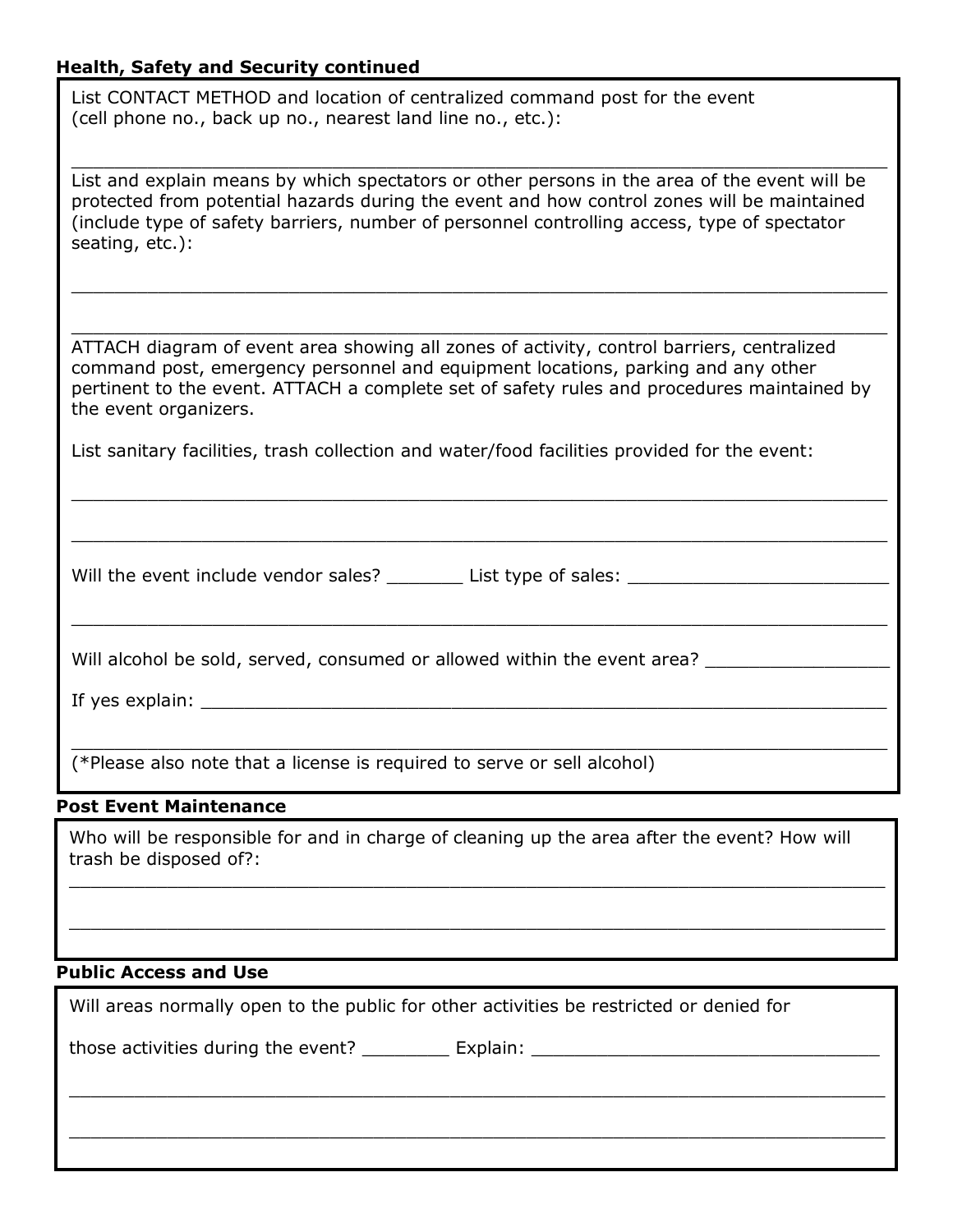# **Health, Safety and Security continued**

List CONTACT METHOD and location of centralized command post for the event (cell phone no., back up no., nearest land line no., etc.):

 $\_$  , and the contribution of the contribution of the contribution of the contribution of the contribution of  $\mathcal{L}_\text{max}$ List and explain means by which spectators or other persons in the area of the event will be protected from potential hazards during the event and how control zones will be maintained (include type of safety barriers, number of personnel controlling access, type of spectator seating, etc.):

 $\_$  , and the contribution of the contribution of the contribution of the contribution of the contribution of  $\mathcal{L}_\text{max}$ 

 $\_$  , and the contribution of the contribution of the contribution of the contribution of the contribution of  $\mathcal{L}_\text{max}$ 

ATTACH diagram of event area showing all zones of activity, control barriers, centralized command post, emergency personnel and equipment locations, parking and any other pertinent to the event. ATTACH a complete set of safety rules and procedures maintained by the event organizers.

\_\_\_\_\_\_\_\_\_\_\_\_\_\_\_\_\_\_\_\_\_\_\_\_\_\_\_\_\_\_\_\_\_\_\_\_\_\_\_\_\_\_\_\_\_\_\_\_\_\_\_\_\_\_\_\_\_\_\_\_\_\_\_\_\_\_\_\_\_\_\_\_\_\_\_

\_\_\_\_\_\_\_\_\_\_\_\_\_\_\_\_\_\_\_\_\_\_\_\_\_\_\_\_\_\_\_\_\_\_\_\_\_\_\_\_\_\_\_\_\_\_\_\_\_\_\_\_\_\_\_\_\_\_\_\_\_\_\_\_\_\_\_\_\_\_\_\_\_\_\_

 $\_$  , and the contribution of the contribution of the contribution of the contribution of the contribution of  $\mathcal{L}_\text{max}$ 

 $\_$  , and the contribution of the contribution of the contribution of the contribution of the contribution of  $\mathcal{L}_\text{max}$ 

List sanitary facilities, trash collection and water/food facilities provided for the event:

Will the event include vendor sales? \_\_\_\_\_\_\_\_ List type of sales: \_\_\_\_\_\_\_\_\_\_\_\_\_\_

Will alcohol be sold, served, consumed or allowed within the event area? \_\_\_\_\_\_\_\_

If yes explain: <u>\_\_\_\_\_\_\_</u>

(\*Please also note that a license is required to serve or sell alcohol)

#### **Post Event Maintenance**

Who will be responsible for and in charge of cleaning up the area after the event? How will trash be disposed of?:

 $\_$  , and the contribution of the contribution of the contribution of the contribution of the contribution of  $\mathcal{L}_\text{max}$ 

 $\_$  , and the contribution of the contribution of the contribution of the contribution of the contribution of  $\mathcal{L}_\text{max}$ 

 $\_$  , and the contribution of the contribution of the contribution of the contribution of the contribution of  $\mathcal{L}_\text{max}$ 

\_\_\_\_\_\_\_\_\_\_\_\_\_\_\_\_\_\_\_\_\_\_\_\_\_\_\_\_\_\_\_\_\_\_\_\_\_\_\_\_\_\_\_\_\_\_\_\_\_\_\_\_\_\_\_\_\_\_\_\_\_\_\_\_\_\_\_\_\_\_\_\_\_\_\_

#### **Public Access and Use**

**Local Impact**

 $\overline{\phantom{a}}$ 

Will areas normally open to the public for other activities be restricted or denied for

those activities during the event? \_\_\_\_\_\_\_\_\_\_\_ Explain: \_\_\_\_\_\_\_\_\_\_\_\_\_\_\_\_\_\_\_\_\_\_\_\_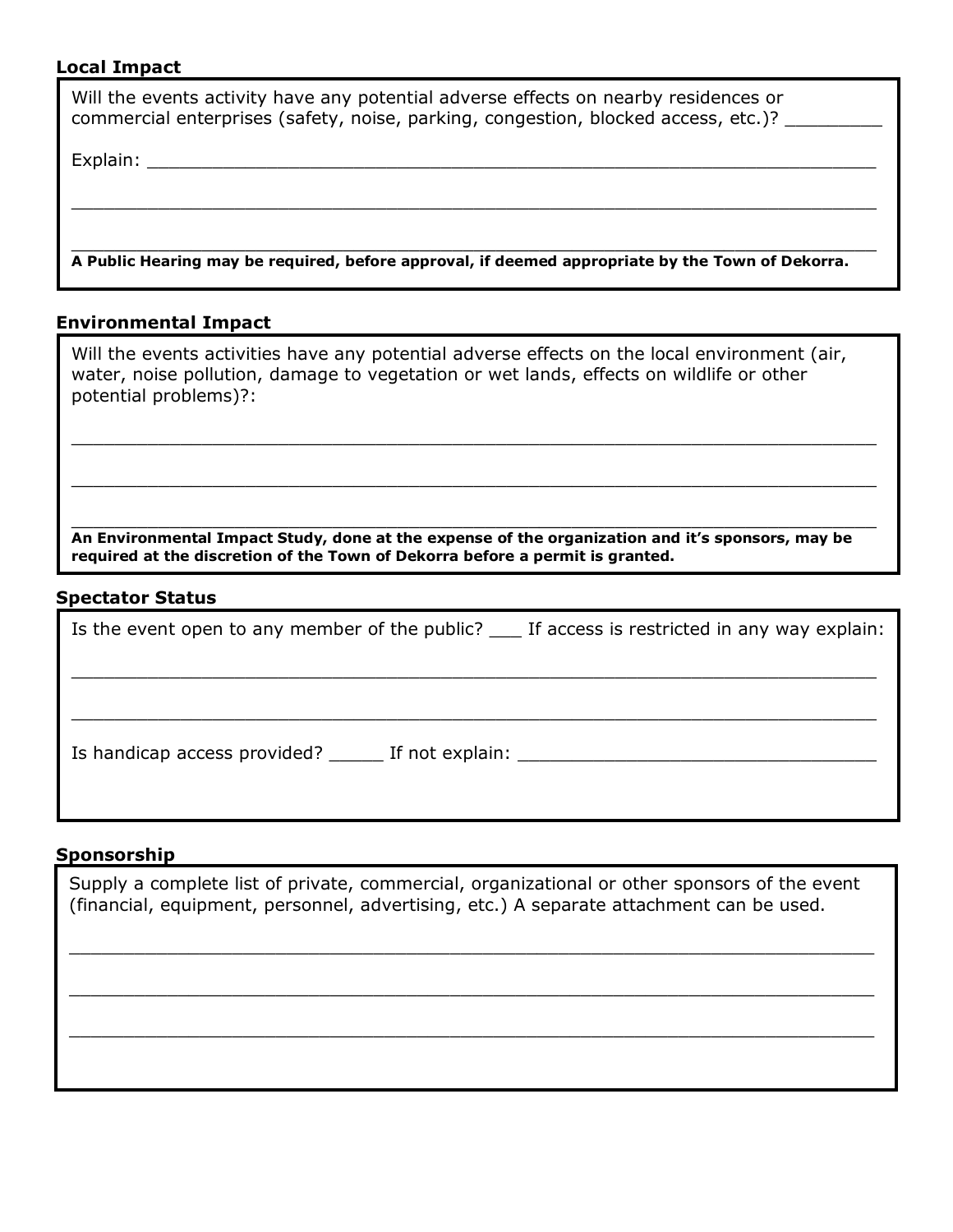# **Local Impact**

| Will the events activity have any potential adverse effects on nearby residences or<br>commercial enterprises (safety, noise, parking, congestion, blocked access, etc.)?                                                      |  |
|--------------------------------------------------------------------------------------------------------------------------------------------------------------------------------------------------------------------------------|--|
| Explain: North Communication of the Communication of the Communication of the Communication of the Communication of the Communication of the Communication of the Communication of the Communication of the Communication of t |  |
|                                                                                                                                                                                                                                |  |
|                                                                                                                                                                                                                                |  |
| A Public Hearing may be required, before approval, if deemed appropriate by the Town of Dekorra.                                                                                                                               |  |
| Ferdinanse antal Terra at                                                                                                                                                                                                      |  |

## **Environmental Impact**

| Will the events activities have any potential adverse effects on the local environment (air,<br>water, noise pollution, damage to vegetation or wet lands, effects on wildlife or other<br>potential problems)?: |
|------------------------------------------------------------------------------------------------------------------------------------------------------------------------------------------------------------------|
|                                                                                                                                                                                                                  |
| An Environmental Impact Study, done at the expense of the organization and it's sponsors, may be<br>required at the discretion of the Town of Dekorra before a permit is granted.                                |
| Snectator Status                                                                                                                                                                                                 |

#### **Spectator Status**

| Is the event open to any member of the public? ____ If access is restricted in any way explain: |  |  |
|-------------------------------------------------------------------------------------------------|--|--|
|                                                                                                 |  |  |
|                                                                                                 |  |  |
| Is handicap access provided? The If not explain:                                                |  |  |
|                                                                                                 |  |  |

# **Sponsorship**

Supply a complete list of private, commercial, organizational or other sponsors of the event (financial, equipment, personnel, advertising, etc.) A separate attachment can be used.

 $\_$  , and the contribution of the contribution of the contribution of the contribution of the contribution of  $\mathcal{L}$ 

\_\_\_\_\_\_\_\_\_\_\_\_\_\_\_\_\_\_\_\_\_\_\_\_\_\_\_\_\_\_\_\_\_\_\_\_\_\_\_\_\_\_\_\_\_\_\_\_\_\_\_\_\_\_\_\_\_\_\_\_\_\_\_\_\_\_\_\_\_\_\_\_\_\_

 $\_$  , and the contribution of the contribution of the contribution of the contribution of the contribution of  $\mathcal{L}$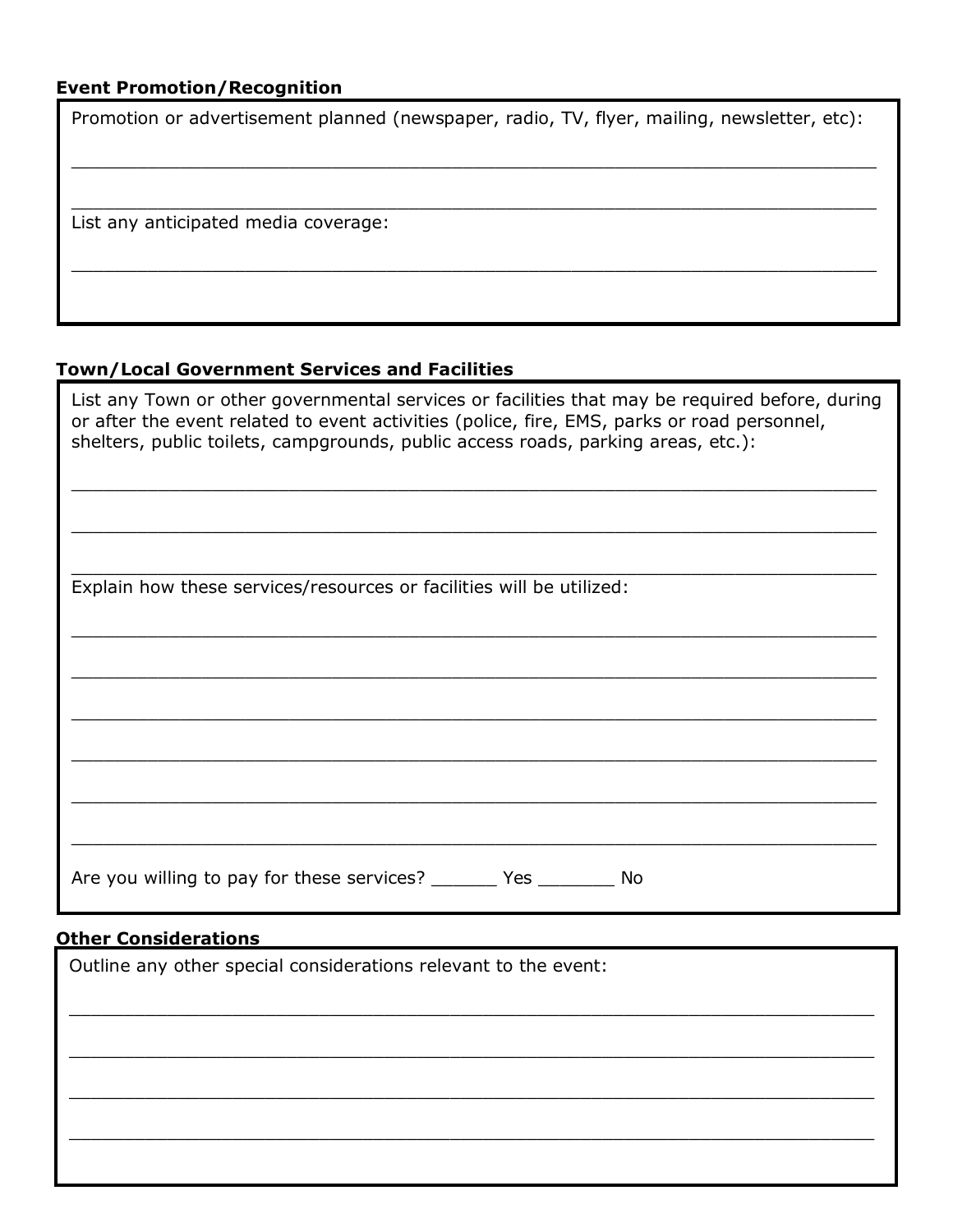## **Event Promotion/Recognition**

Promotion or advertisement planned (newspaper, radio, TV, flyer, mailing, newsletter, etc):

 $\_$  , and the set of the set of the set of the set of the set of the set of the set of the set of the set of the set of the set of the set of the set of the set of the set of the set of the set of the set of the set of th

 $\_$  , and the set of the set of the set of the set of the set of the set of the set of the set of the set of the set of the set of the set of the set of the set of the set of the set of the set of the set of the set of th

\_\_\_\_\_\_\_\_\_\_\_\_\_\_\_\_\_\_\_\_\_\_\_\_\_\_\_\_\_\_\_\_\_\_\_\_\_\_\_\_\_\_\_\_\_\_\_\_\_\_\_\_\_\_\_\_\_\_\_\_\_\_\_\_\_\_\_\_\_\_\_\_\_\_

List any anticipated media coverage:

#### **Town/Local Government Services and Facilities**

List any Town or other governmental services or facilities that may be required before, during or after the event related to event activities (police, fire, EMS, parks or road personnel, shelters, public toilets, campgrounds, public access roads, parking areas, etc.):

\_\_\_\_\_\_\_\_\_\_\_\_\_\_\_\_\_\_\_\_\_\_\_\_\_\_\_\_\_\_\_\_\_\_\_\_\_\_\_\_\_\_\_\_\_\_\_\_\_\_\_\_\_\_\_\_\_\_\_\_\_\_\_\_\_\_\_\_\_\_\_\_\_\_

 $\_$  , and the set of the set of the set of the set of the set of the set of the set of the set of the set of the set of the set of the set of the set of the set of the set of the set of the set of the set of the set of th

 $\_$  , and the contribution of the contribution of the contribution of the contribution of the contribution of  $\mathcal{L}$ 

 $\_$  , and the set of the set of the set of the set of the set of the set of the set of the set of the set of the set of the set of the set of the set of the set of the set of the set of the set of the set of the set of th

 $\_$  , and the set of the set of the set of the set of the set of the set of the set of the set of the set of the set of the set of the set of the set of the set of the set of the set of the set of the set of the set of th

\_\_\_\_\_\_\_\_\_\_\_\_\_\_\_\_\_\_\_\_\_\_\_\_\_\_\_\_\_\_\_\_\_\_\_\_\_\_\_\_\_\_\_\_\_\_\_\_\_\_\_\_\_\_\_\_\_\_\_\_\_\_\_\_\_\_\_\_\_\_\_\_\_\_

\_\_\_\_\_\_\_\_\_\_\_\_\_\_\_\_\_\_\_\_\_\_\_\_\_\_\_\_\_\_\_\_\_\_\_\_\_\_\_\_\_\_\_\_\_\_\_\_\_\_\_\_\_\_\_\_\_\_\_\_\_\_\_\_\_\_\_\_\_\_\_\_\_\_

\_\_\_\_\_\_\_\_\_\_\_\_\_\_\_\_\_\_\_\_\_\_\_\_\_\_\_\_\_\_\_\_\_\_\_\_\_\_\_\_\_\_\_\_\_\_\_\_\_\_\_\_\_\_\_\_\_\_\_\_\_\_\_\_\_\_\_\_\_\_\_\_\_\_

\_\_\_\_\_\_\_\_\_\_\_\_\_\_\_\_\_\_\_\_\_\_\_\_\_\_\_\_\_\_\_\_\_\_\_\_\_\_\_\_\_\_\_\_\_\_\_\_\_\_\_\_\_\_\_\_\_\_\_\_\_\_\_\_\_\_\_\_\_\_\_\_\_\_

Explain how these services/resources or facilities will be utilized:

Are you willing to pay for these services? \_\_\_\_\_\_\_ Yes \_\_\_\_\_\_\_\_ No

# **Other Considerations**

| <u>Uther Considerations</u>                                     |  |  |
|-----------------------------------------------------------------|--|--|
| Outline any other special considerations relevant to the event: |  |  |
|                                                                 |  |  |
|                                                                 |  |  |
|                                                                 |  |  |
|                                                                 |  |  |
|                                                                 |  |  |
|                                                                 |  |  |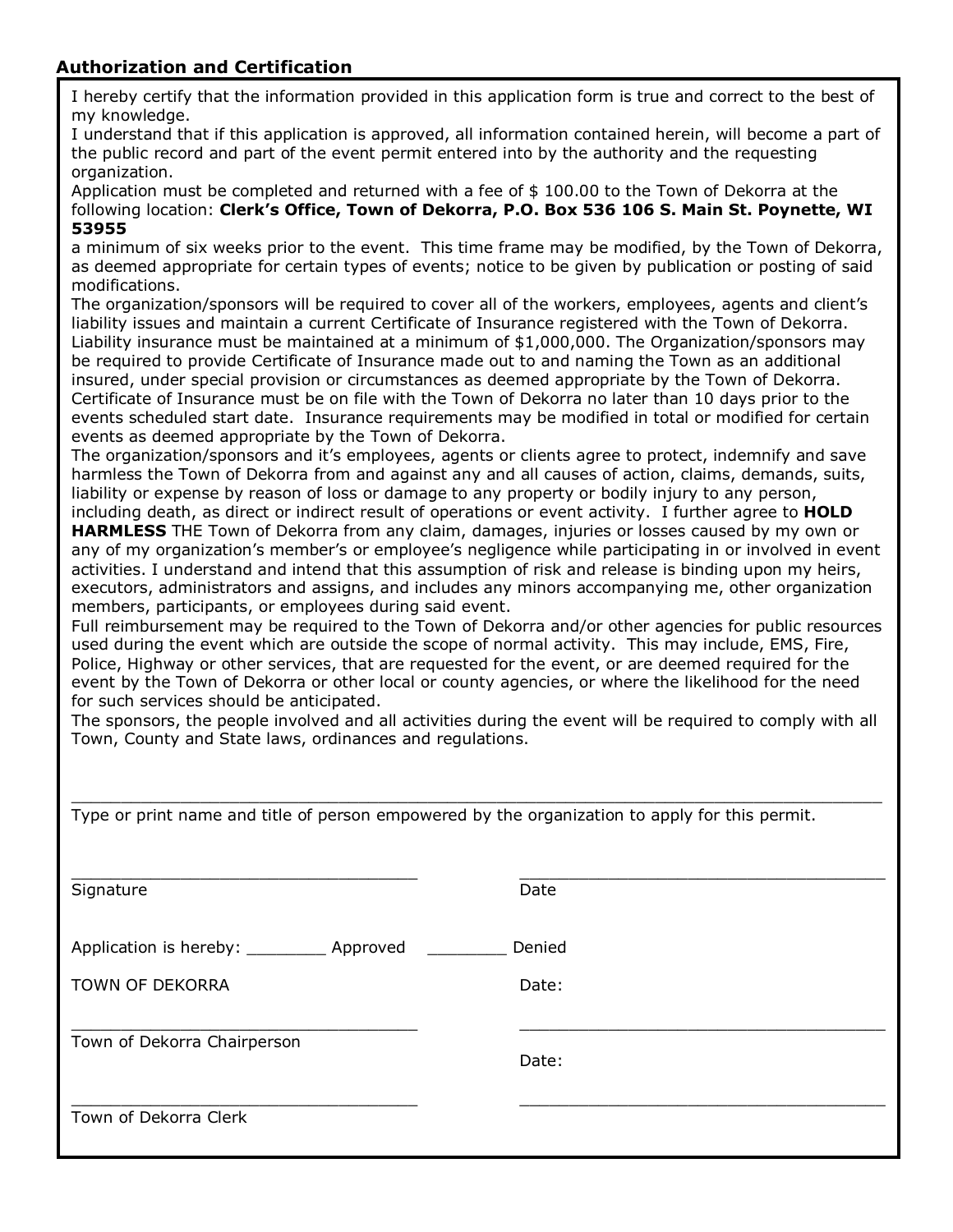# **Authorization and Certification**

I hereby certify that the information provided in this application form is true and correct to the best of my knowledge.

I understand that if this application is approved, all information contained herein, will become a part of the public record and part of the event permit entered into by the authority and the requesting organization.

Application must be completed and returned with a fee of  $$100.00$  to the Town of Dekorra at the following location: **Clerk's Office, Town of Dekorra, P.O. Box 536 106 S. Main St. Poynette, WI 53955**

a minimum of six weeks prior to the event. This time frame may be modified, by the Town of Dekorra, as deemed appropriate for certain types of events; notice to be given by publication or posting of said modifications.

The organization/sponsors will be required to cover all of the workers, employees, agents and client's liability issues and maintain a current Certificate of Insurance registered with the Town of Dekorra. Liability insurance must be maintained at a minimum of \$1,000,000. The Organization/sponsors may be required to provide Certificate of Insurance made out to and naming the Town as an additional insured, under special provision or circumstances as deemed appropriate by the Town of Dekorra. Certificate of Insurance must be on file with the Town of Dekorra no later than 10 days prior to the events scheduled start date. Insurance requirements may be modified in total or modified for certain events as deemed appropriate by the Town of Dekorra.

The organization/sponsors and it's employees, agents or clients agree to protect, indemnify and save harmless the Town of Dekorra from and against any and all causes of action, claims, demands, suits, liability or expense by reason of loss or damage to any property or bodily injury to any person,

including death, as direct or indirect result of operations or event activity. I further agree to **HOLD HARMLESS** THE Town of Dekorra from any claim, damages, injuries or losses caused by my own or any of my organization's member's or employee's negligence while participating in or involved in event activities. I understand and intend that this assumption of risk and release is binding upon my heirs, executors, administrators and assigns, and includes any minors accompanying me, other organization members, participants, or employees during said event.

Full reimbursement may be required to the Town of Dekorra and/or other agencies for public resources used during the event which are outside the scope of normal activity. This may include, EMS, Fire, Police, Highway or other services, that are requested for the event, or are deemed required for the event by the Town of Dekorra or other local or county agencies, or where the likelihood for the need for such services should be anticipated.

The sponsors, the people involved and all activities during the event will be required to comply with all Town, County and State laws, ordinances and regulations.

| Type or print name and title of person empowered by the organization to apply for this permit. |        |  |  |  |
|------------------------------------------------------------------------------------------------|--------|--|--|--|
| Signature                                                                                      | Date   |  |  |  |
| Application is hereby: ____________ Approved ________                                          | Denied |  |  |  |
| <b>TOWN OF DEKORRA</b>                                                                         | Date:  |  |  |  |
| Town of Dekorra Chairperson                                                                    | Date:  |  |  |  |
| Town of Dekorra Clerk                                                                          |        |  |  |  |